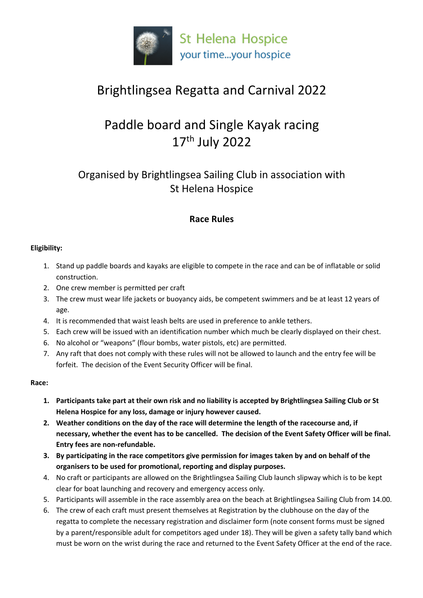

# Brightlingsea Regatta and Carnival 2022

# Paddle board and Single Kayak racing 17th July 2022

## Organised by Brightlingsea Sailing Club in association with St Helena Hospice

### **Race Rules**

### **Eligibility:**

- 1. Stand up paddle boards and kayaks are eligible to compete in the race and can be of inflatable or solid construction.
- 2. One crew member is permitted per craft
- 3. The crew must wear life jackets or buoyancy aids, be competent swimmers and be at least 12 years of age.
- 4. It is recommended that waist leash belts are used in preference to ankle tethers.
- 5. Each crew will be issued with an identification number which much be clearly displayed on their chest.
- 6. No alcohol or "weapons" (flour bombs, water pistols, etc) are permitted.
- 7. Any raft that does not comply with these rules will not be allowed to launch and the entry fee will be forfeit. The decision of the Event Security Officer will be final.

#### **Race:**

- **1. Participants take part at their own risk and no liability is accepted by Brightlingsea Sailing Club or St Helena Hospice for any loss, damage or injury however caused.**
- **2. Weather conditions on the day of the race will determine the length of the racecourse and, if necessary, whether the event has to be cancelled. The decision of the Event Safety Officer will be final. Entry fees are non-refundable.**
- **3. By participating in the race competitors give permission for images taken by and on behalf of the organisers to be used for promotional, reporting and display purposes.**
- 4. No craft or participants are allowed on the Brightlingsea Sailing Club launch slipway which is to be kept clear for boat launching and recovery and emergency access only.
- 5. Participants will assemble in the race assembly area on the beach at Brightlingsea Sailing Club from 14.00.
- 6. The crew of each craft must present themselves at Registration by the clubhouse on the day of the regatta to complete the necessary registration and disclaimer form (note consent forms must be signed by a parent/responsible adult for competitors aged under 18). They will be given a safety tally band which must be worn on the wrist during the race and returned to the Event Safety Officer at the end of the race.